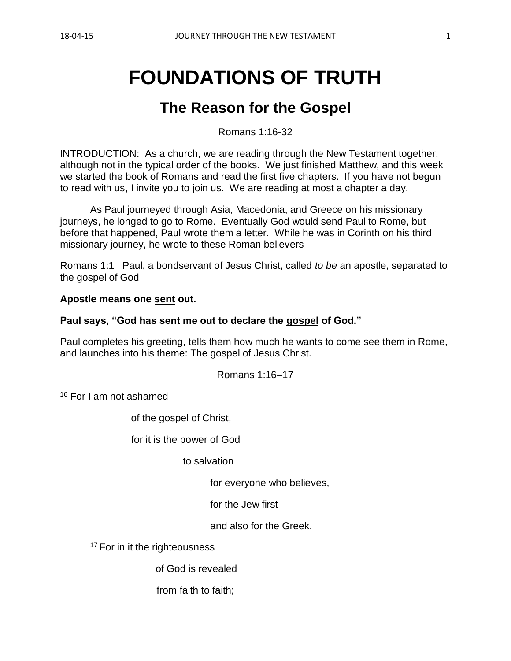# **FOUNDATIONS OF TRUTH**

# **The Reason for the Gospel**

Romans 1:16-32

INTRODUCTION: As a church, we are reading through the New Testament together, although not in the typical order of the books. We just finished Matthew, and this week we started the book of Romans and read the first five chapters. If you have not begun to read with us, I invite you to join us. We are reading at most a chapter a day.

As Paul journeyed through Asia, Macedonia, and Greece on his missionary journeys, he longed to go to Rome. Eventually God would send Paul to Rome, but before that happened, Paul wrote them a letter. While he was in Corinth on his third missionary journey, he wrote to these Roman believers

Romans 1:1 Paul, a bondservant of Jesus Christ, called *to be* an apostle, separated to the gospel of God

#### **Apostle means one sent out.**

#### **Paul says, "God has sent me out to declare the gospel of God."**

Paul completes his greeting, tells them how much he wants to come see them in Rome, and launches into his theme: The gospel of Jesus Christ.

Romans 1:16–17

<sup>16</sup> For I am not ashamed

of the gospel of Christ,

for it is the power of God

to salvation

for everyone who believes,

for the Jew first

and also for the Greek.

<sup>17</sup> For in it the righteousness

of God is revealed

from faith to faith;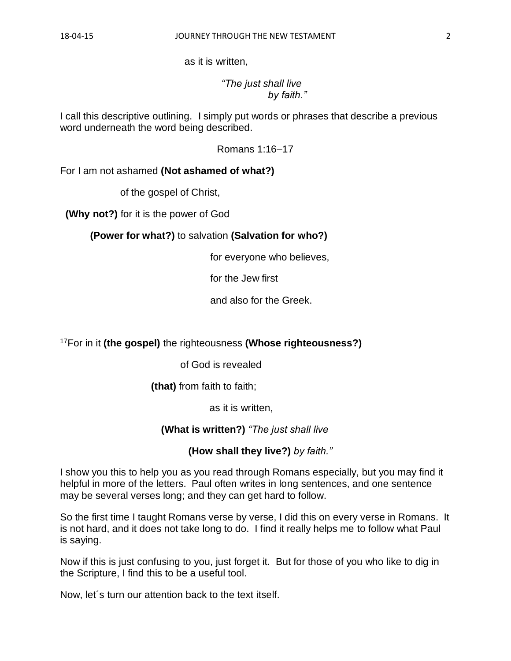as it is written,

 *"The just shall live by faith."*

I call this descriptive outlining. I simply put words or phrases that describe a previous word underneath the word being described.

Romans 1:16–17

For I am not ashamed **(Not ashamed of what?)**

of the gospel of Christ,

**(Why not?)** for it is the power of God

**(Power for what?)** to salvation **(Salvation for who?)**

for everyone who believes,

for the Jew first

and also for the Greek.

<sup>17</sup>For in it **(the gospel)** the righteousness **(Whose righteousness?)**

of God is revealed

**(that)** from faith to faith;

as it is written,

 **(What is written?)** *"The just shall live* 

**(How shall they live?)** *by faith."*

I show you this to help you as you read through Romans especially, but you may find it helpful in more of the letters. Paul often writes in long sentences, and one sentence may be several verses long; and they can get hard to follow.

So the first time I taught Romans verse by verse, I did this on every verse in Romans. It is not hard, and it does not take long to do. I find it really helps me to follow what Paul is saying.

Now if this is just confusing to you, just forget it. But for those of you who like to dig in the Scripture, I find this to be a useful tool.

Now, let´s turn our attention back to the text itself.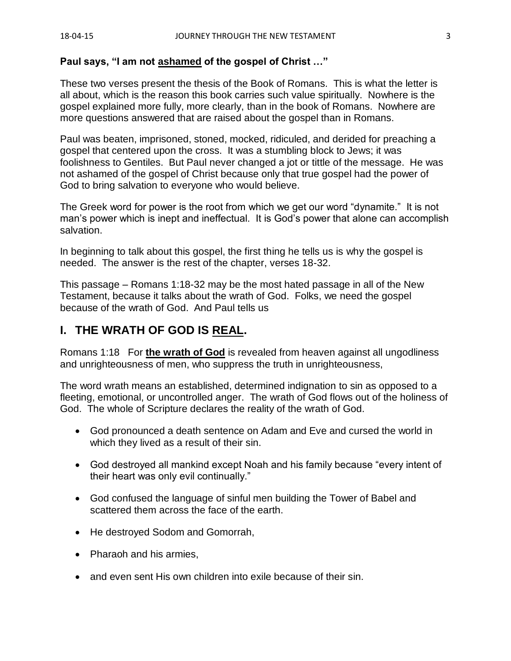### **Paul says, "I am not ashamed of the gospel of Christ …"**

These two verses present the thesis of the Book of Romans. This is what the letter is all about, which is the reason this book carries such value spiritually. Nowhere is the gospel explained more fully, more clearly, than in the book of Romans. Nowhere are more questions answered that are raised about the gospel than in Romans.

Paul was beaten, imprisoned, stoned, mocked, ridiculed, and derided for preaching a gospel that centered upon the cross. It was a stumbling block to Jews; it was foolishness to Gentiles. But Paul never changed a jot or tittle of the message. He was not ashamed of the gospel of Christ because only that true gospel had the power of God to bring salvation to everyone who would believe.

The Greek word for power is the root from which we get our word "dynamite." It is not man's power which is inept and ineffectual. It is God's power that alone can accomplish salvation.

In beginning to talk about this gospel, the first thing he tells us is why the gospel is needed. The answer is the rest of the chapter, verses 18-32.

This passage – Romans 1:18-32 may be the most hated passage in all of the New Testament, because it talks about the wrath of God. Folks, we need the gospel because of the wrath of God. And Paul tells us

## **I. THE WRATH OF GOD IS REAL.**

Romans 1:18 For **the wrath of God** is revealed from heaven against all ungodliness and unrighteousness of men, who suppress the truth in unrighteousness,

The word wrath means an established, determined indignation to sin as opposed to a fleeting, emotional, or uncontrolled anger. The wrath of God flows out of the holiness of God. The whole of Scripture declares the reality of the wrath of God.

- God pronounced a death sentence on Adam and Eve and cursed the world in which they lived as a result of their sin.
- God destroyed all mankind except Noah and his family because "every intent of their heart was only evil continually."
- God confused the language of sinful men building the Tower of Babel and scattered them across the face of the earth.
- He destroyed Sodom and Gomorrah,
- Pharaoh and his armies,
- and even sent His own children into exile because of their sin.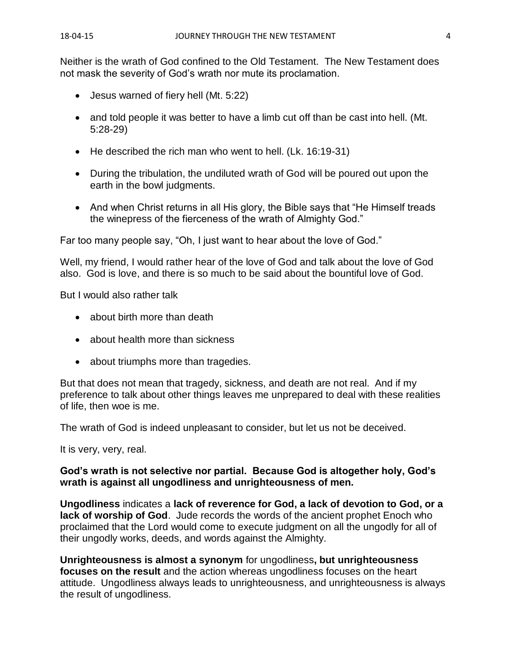Neither is the wrath of God confined to the Old Testament. The New Testament does not mask the severity of God's wrath nor mute its proclamation.

- Jesus warned of fiery hell (Mt. 5:22)
- and told people it was better to have a limb cut off than be cast into hell. (Mt. 5:28-29)
- He described the rich man who went to hell. (Lk. 16:19-31)
- During the tribulation, the undiluted wrath of God will be poured out upon the earth in the bowl judgments.
- And when Christ returns in all His glory, the Bible says that "He Himself treads" the winepress of the fierceness of the wrath of Almighty God."

Far too many people say, "Oh, I just want to hear about the love of God."

Well, my friend, I would rather hear of the love of God and talk about the love of God also. God is love, and there is so much to be said about the bountiful love of God.

But I would also rather talk

- about birth more than death
- about health more than sickness
- about triumphs more than tragedies.

But that does not mean that tragedy, sickness, and death are not real. And if my preference to talk about other things leaves me unprepared to deal with these realities of life, then woe is me.

The wrath of God is indeed unpleasant to consider, but let us not be deceived.

It is very, very, real.

#### **God's wrath is not selective nor partial. Because God is altogether holy, God's wrath is against all ungodliness and unrighteousness of men.**

**Ungodliness** indicates a **lack of reverence for God, a lack of devotion to God, or a lack of worship of God**. Jude records the words of the ancient prophet Enoch who proclaimed that the Lord would come to execute judgment on all the ungodly for all of their ungodly works, deeds, and words against the Almighty.

**Unrighteousness is almost a synonym** for ungodliness**, but unrighteousness focuses on the result** and the action whereas ungodliness focuses on the heart attitude. Ungodliness always leads to unrighteousness, and unrighteousness is always the result of ungodliness.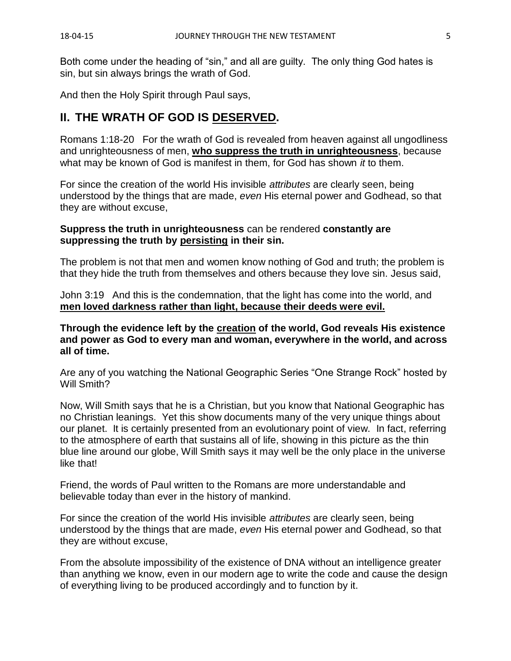Both come under the heading of "sin," and all are guilty. The only thing God hates is sin, but sin always brings the wrath of God.

And then the Holy Spirit through Paul says,

## **II. THE WRATH OF GOD IS DESERVED.**

Romans 1:18-20 For the wrath of God is revealed from heaven against all ungodliness and unrighteousness of men, **who suppress the truth in unrighteousness**, because what may be known of God is manifest in them, for God has shown *it* to them.

For since the creation of the world His invisible *attributes* are clearly seen, being understood by the things that are made, *even* His eternal power and Godhead, so that they are without excuse,

#### **Suppress the truth in unrighteousness** can be rendered **constantly are suppressing the truth by persisting in their sin.**

The problem is not that men and women know nothing of God and truth; the problem is that they hide the truth from themselves and others because they love sin. Jesus said,

John 3:19 And this is the condemnation, that the light has come into the world, and **men loved darkness rather than light, because their deeds were evil.** 

**Through the evidence left by the creation of the world, God reveals His existence and power as God to every man and woman, everywhere in the world, and across all of time.**

Are any of you watching the National Geographic Series "One Strange Rock" hosted by Will Smith?

Now, Will Smith says that he is a Christian, but you know that National Geographic has no Christian leanings. Yet this show documents many of the very unique things about our planet. It is certainly presented from an evolutionary point of view. In fact, referring to the atmosphere of earth that sustains all of life, showing in this picture as the thin blue line around our globe, Will Smith says it may well be the only place in the universe like that!

Friend, the words of Paul written to the Romans are more understandable and believable today than ever in the history of mankind.

For since the creation of the world His invisible *attributes* are clearly seen, being understood by the things that are made, *even* His eternal power and Godhead, so that they are without excuse,

From the absolute impossibility of the existence of DNA without an intelligence greater than anything we know, even in our modern age to write the code and cause the design of everything living to be produced accordingly and to function by it.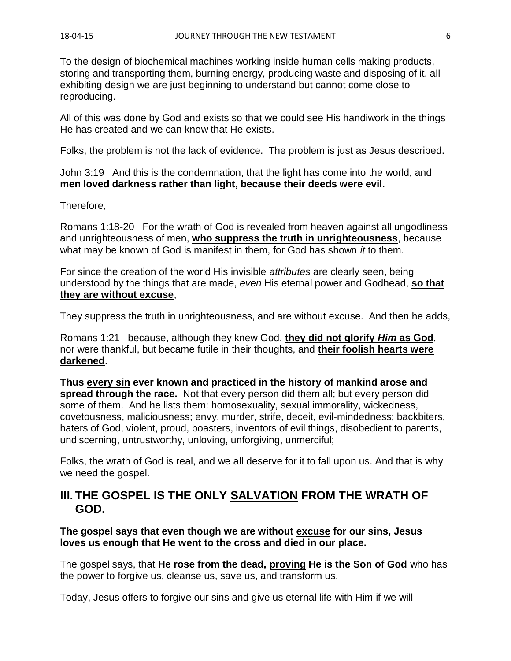To the design of biochemical machines working inside human cells making products, storing and transporting them, burning energy, producing waste and disposing of it, all exhibiting design we are just beginning to understand but cannot come close to reproducing.

All of this was done by God and exists so that we could see His handiwork in the things He has created and we can know that He exists.

Folks, the problem is not the lack of evidence. The problem is just as Jesus described.

#### John 3:19 And this is the condemnation, that the light has come into the world, and **men loved darkness rather than light, because their deeds were evil.**

Therefore,

Romans 1:18-20 For the wrath of God is revealed from heaven against all ungodliness and unrighteousness of men, **who suppress the truth in unrighteousness**, because what may be known of God is manifest in them, for God has shown *it* to them.

For since the creation of the world His invisible *attributes* are clearly seen, being understood by the things that are made, *even* His eternal power and Godhead, **so that they are without excuse**,

They suppress the truth in unrighteousness, and are without excuse. And then he adds,

Romans 1:21 because, although they knew God, **they did not glorify** *Him* **as God**, nor were thankful, but became futile in their thoughts, and **their foolish hearts were darkened**.

**Thus every sin ever known and practiced in the history of mankind arose and spread through the race.** Not that every person did them all; but every person did some of them. And he lists them: homosexuality, sexual immorality, wickedness, covetousness, maliciousness; envy, murder, strife, deceit, evil-mindedness; backbiters, haters of God, violent, proud, boasters, inventors of evil things, disobedient to parents, undiscerning, untrustworthy, unloving, unforgiving, unmerciful;

Folks, the wrath of God is real, and we all deserve for it to fall upon us. And that is why we need the gospel.

## **III. THE GOSPEL IS THE ONLY SALVATION FROM THE WRATH OF GOD.**

**The gospel says that even though we are without excuse for our sins, Jesus loves us enough that He went to the cross and died in our place.**

The gospel says, that **He rose from the dead, proving He is the Son of God** who has the power to forgive us, cleanse us, save us, and transform us.

Today, Jesus offers to forgive our sins and give us eternal life with Him if we will